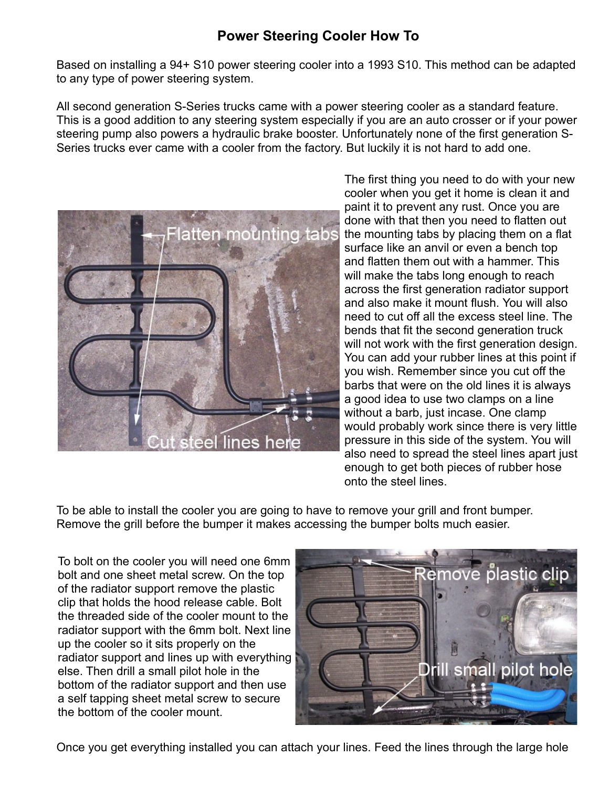Based on installing a 94+ S10 power steering cooler into a 1993 S10. This method can be adapted to any type of power steering system.

All second generation S-Series trucks came with a power steering cooler as a standard feature. This is a good addition to any steering system especially if you are an auto crosser or if your power steering pump also powers a hydraulic brake booster. Unfortunately none of the first generation S-Series trucks ever came with a cooler from the factory. But luckily it is not hard to add one.



The first thing you need to do with your new cooler when you get it home is clean it and paint it to prevent any rust. Once you are done with that then you need to flatten out the mounting tabs by placing them on a flat surface like an anvil or even a bench top and flatten them out with a hammer. This will make the tabs long enough to reach across the first generation radiator support and also make it mount flush. You will also need to cut off all the excess steel line. The bends that fit the second generation truck will not work with the first generation design. You can add your rubber lines at this point if you wish. Remember since you cut off the barbs that were on the old lines it is always a good idea to use two clamps on a line without a barb, just incase. One clamp would probably work since there is very little pressure in this side of the system. You will also need to spread the steel lines apart just enough to get both pieces of rubber hose onto the steel lines.

To be able to install the cooler you are going to have to remove your grill and front bumper. Remove the grill before the bumper it makes accessing the bumper bolts much easier.

To bolt on the cooler you will need one 6mm bolt and one sheet metal screw. On the top of the radiator support remove the plastic clip that holds the hood release cable. Bolt the threaded side of the cooler mount to the radiator support with the 6mm bolt. Next line up the cooler so it sits properly on the radiator support and lines up with everything else. Then drill a small pilot hole in the bottom of the radiator support and then use a self tapping sheet metal screw to secure the bottom of the cooler mount.



Once you get everything installed you can attach your lines. Feed the lines through the large hole